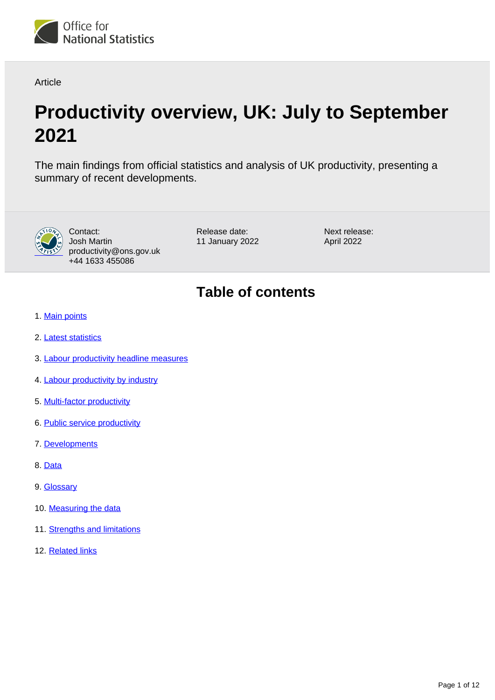

**Article** 

# **Productivity overview, UK: July to September 2021**

The main findings from official statistics and analysis of UK productivity, presenting a summary of recent developments.



Contact: Josh Martin productivity@ons.gov.uk +44 1633 455086

Release date: 11 January 2022 Next release: April 2022

# **Table of contents**

- 1. [Main points](#page-1-0)
- 2. [Latest statistics](#page-1-1)
- 3. [Labour productivity headline measures](#page-3-0)
- 4. [Labour productivity by industry](#page-4-0)
- 5. [Multi-factor productivity](#page-5-0)
- 6. [Public service productivity](#page-7-0)
- 7. [Developments](#page-8-0)
- 8. [Data](#page-8-1)
- 9. [Glossary](#page-8-2)
- 10. [Measuring the data](#page-9-0)
- 11. [Strengths and limitations](#page-10-0)
- 12. [Related links](#page-11-0)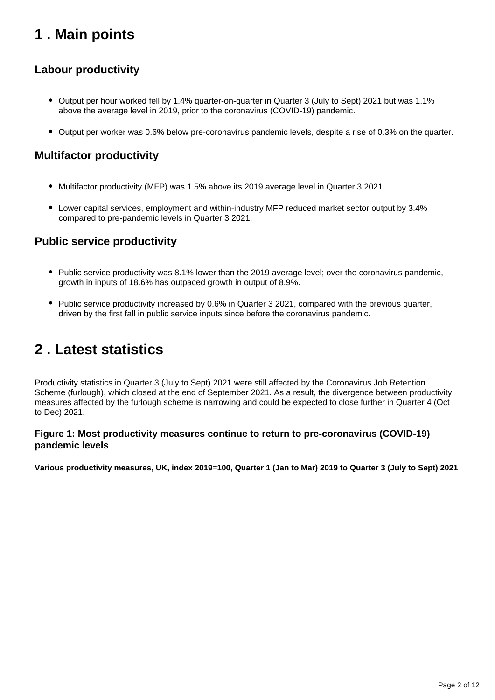# <span id="page-1-0"></span>**1 . Main points**

## **Labour productivity**

- Output per hour worked fell by 1.4% quarter-on-quarter in Quarter 3 (July to Sept) 2021 but was 1.1% above the average level in 2019, prior to the coronavirus (COVID-19) pandemic.
- Output per worker was 0.6% below pre-coronavirus pandemic levels, despite a rise of 0.3% on the quarter.

## **Multifactor productivity**

- Multifactor productivity (MFP) was 1.5% above its 2019 average level in Quarter 3 2021.
- Lower capital services, employment and within-industry MFP reduced market sector output by 3.4% compared to pre-pandemic levels in Quarter 3 2021.

### **Public service productivity**

- Public service productivity was 8.1% lower than the 2019 average level; over the coronavirus pandemic, growth in inputs of 18.6% has outpaced growth in output of 8.9%.
- Public service productivity increased by 0.6% in Quarter 3 2021, compared with the previous quarter, driven by the first fall in public service inputs since before the coronavirus pandemic.

# <span id="page-1-1"></span>**2 . Latest statistics**

Productivity statistics in Quarter 3 (July to Sept) 2021 were still affected by the Coronavirus Job Retention Scheme (furlough), which closed at the end of September 2021. As a result, the divergence between productivity measures affected by the furlough scheme is narrowing and could be expected to close further in Quarter 4 (Oct to Dec) 2021.

### **Figure 1: Most productivity measures continue to return to pre-coronavirus (COVID-19) pandemic levels**

**Various productivity measures, UK, index 2019=100, Quarter 1 (Jan to Mar) 2019 to Quarter 3 (July to Sept) 2021**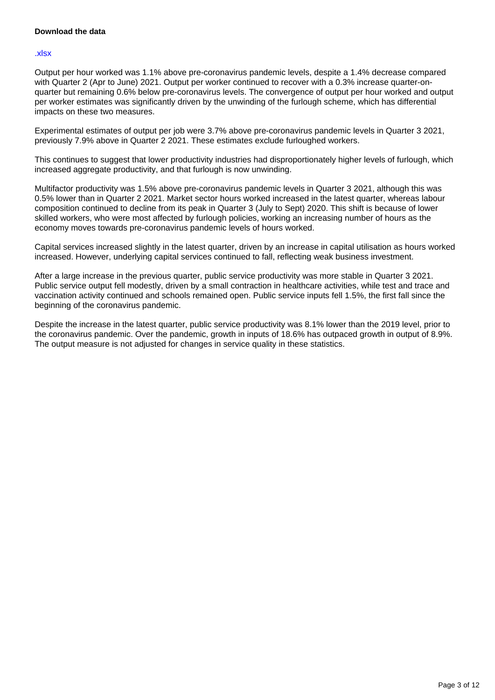### **Download the data**

#### [.xlsx](https://www.ons.gov.uk/visualisations/dvc1746/linewrapper/datadownload.xlsx)

Output per hour worked was 1.1% above pre-coronavirus pandemic levels, despite a 1.4% decrease compared with Quarter 2 (Apr to June) 2021. Output per worker continued to recover with a 0.3% increase quarter-onquarter but remaining 0.6% below pre-coronavirus levels. The convergence of output per hour worked and output per worker estimates was significantly driven by the unwinding of the furlough scheme, which has differential impacts on these two measures.

Experimental estimates of output per job were 3.7% above pre-coronavirus pandemic levels in Quarter 3 2021, previously 7.9% above in Quarter 2 2021. These estimates exclude furloughed workers.

This continues to suggest that lower productivity industries had disproportionately higher levels of furlough, which increased aggregate productivity, and that furlough is now unwinding.

Multifactor productivity was 1.5% above pre-coronavirus pandemic levels in Quarter 3 2021, although this was 0.5% lower than in Quarter 2 2021. Market sector hours worked increased in the latest quarter, whereas labour composition continued to decline from its peak in Quarter 3 (July to Sept) 2020. This shift is because of lower skilled workers, who were most affected by furlough policies, working an increasing number of hours as the economy moves towards pre-coronavirus pandemic levels of hours worked.

Capital services increased slightly in the latest quarter, driven by an increase in capital utilisation as hours worked increased. However, underlying capital services continued to fall, reflecting weak business investment.

After a large increase in the previous quarter, public service productivity was more stable in Quarter 3 2021. Public service output fell modestly, driven by a small contraction in healthcare activities, while test and trace and vaccination activity continued and schools remained open. Public service inputs fell 1.5%, the first fall since the beginning of the coronavirus pandemic.

Despite the increase in the latest quarter, public service productivity was 8.1% lower than the 2019 level, prior to the coronavirus pandemic. Over the pandemic, growth in inputs of 18.6% has outpaced growth in output of 8.9%. The output measure is not adjusted for changes in service quality in these statistics.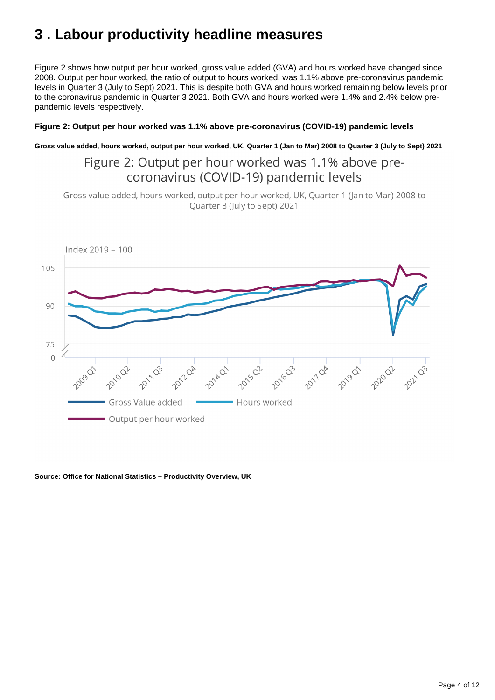# <span id="page-3-0"></span>**3 . Labour productivity headline measures**

Figure 2 shows how output per hour worked, gross value added (GVA) and hours worked have changed since 2008. Output per hour worked, the ratio of output to hours worked, was 1.1% above pre-coronavirus pandemic levels in Quarter 3 (July to Sept) 2021. This is despite both GVA and hours worked remaining below levels prior to the coronavirus pandemic in Quarter 3 2021. Both GVA and hours worked were 1.4% and 2.4% below prepandemic levels respectively.

### **Figure 2: Output per hour worked was 1.1% above pre-coronavirus (COVID-19) pandemic levels**

**Gross value added, hours worked, output per hour worked, UK, Quarter 1 (Jan to Mar) 2008 to Quarter 3 (July to Sept) 2021**

## Figure 2: Output per hour worked was 1.1% above precoronavirus (COVID-19) pandemic levels

Gross value added, hours worked, output per hour worked, UK, Quarter 1 (Jan to Mar) 2008 to Quarter 3 (July to Sept) 2021



#### **Source: Office for National Statistics – Productivity Overview, UK**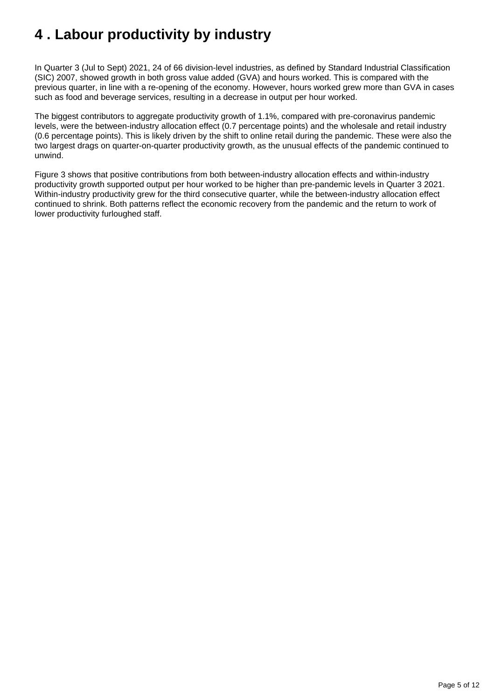# <span id="page-4-0"></span>**4 . Labour productivity by industry**

In Quarter 3 (Jul to Sept) 2021, 24 of 66 division-level industries, as defined by Standard Industrial Classification (SIC) 2007, showed growth in both gross value added (GVA) and hours worked. This is compared with the previous quarter, in line with a re-opening of the economy. However, hours worked grew more than GVA in cases such as food and beverage services, resulting in a decrease in output per hour worked.

The biggest contributors to aggregate productivity growth of 1.1%, compared with pre-coronavirus pandemic levels, were the between-industry allocation effect (0.7 percentage points) and the wholesale and retail industry (0.6 percentage points). This is likely driven by the shift to online retail during the pandemic. These were also the two largest drags on quarter-on-quarter productivity growth, as the unusual effects of the pandemic continued to unwind.

Figure 3 shows that positive contributions from both between-industry allocation effects and within-industry productivity growth supported output per hour worked to be higher than pre-pandemic levels in Quarter 3 2021. Within-industry productivity grew for the third consecutive quarter, while the between-industry allocation effect continued to shrink. Both patterns reflect the economic recovery from the pandemic and the return to work of lower productivity furloughed staff.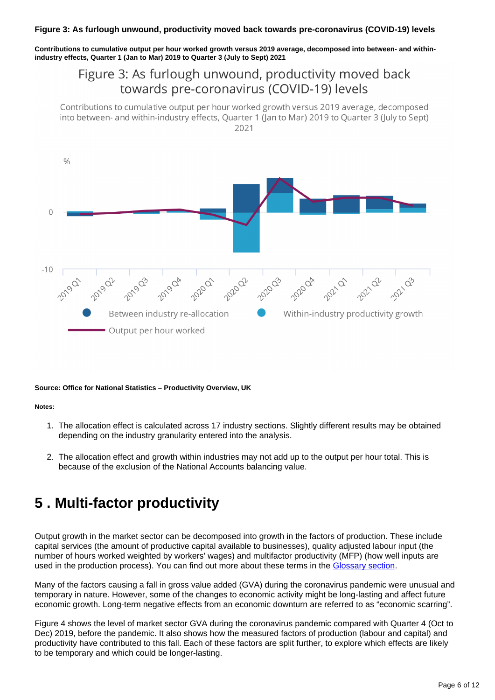#### **Figure 3: As furlough unwound, productivity moved back towards pre-coronavirus (COVID-19) levels**

**Contributions to cumulative output per hour worked growth versus 2019 average, decomposed into between- and withinindustry effects, Quarter 1 (Jan to Mar) 2019 to Quarter 3 (July to Sept) 2021**

## Figure 3: As furlough unwound, productivity moved back towards pre-coronavirus (COVID-19) levels

Contributions to cumulative output per hour worked growth versus 2019 average, decomposed into between- and within-industry effects, Quarter 1 (Jan to Mar) 2019 to Quarter 3 (July to Sept) 2021



#### **Source: Office for National Statistics – Productivity Overview, UK**

#### **Notes:**

- 1. The allocation effect is calculated across 17 industry sections. Slightly different results may be obtained depending on the industry granularity entered into the analysis.
- 2. The allocation effect and growth within industries may not add up to the output per hour total. This is because of the exclusion of the National Accounts balancing value.

## <span id="page-5-0"></span>**5 . Multi-factor productivity**

Output growth in the market sector can be decomposed into growth in the factors of production. These include capital services (the amount of productive capital available to businesses), quality adjusted labour input (the number of hours worked weighted by workers' wages) and multifactor productivity (MFP) (how well inputs are used in the production process). You can find out more about these terms in the [Glossary section](https://www.ons.gov.uk/employmentandlabourmarket/peopleinwork/labourproductivity/articles/ukproductivityintroduction/julytoseptember2021#glossary).

Many of the factors causing a fall in gross value added (GVA) during the coronavirus pandemic were unusual and temporary in nature. However, some of the changes to economic activity might be long-lasting and affect future economic growth. Long-term negative effects from an economic downturn are referred to as "economic scarring".

Figure 4 shows the level of market sector GVA during the coronavirus pandemic compared with Quarter 4 (Oct to Dec) 2019, before the pandemic. It also shows how the measured factors of production (labour and capital) and productivity have contributed to this fall. Each of these factors are split further, to explore which effects are likely to be temporary and which could be longer-lasting.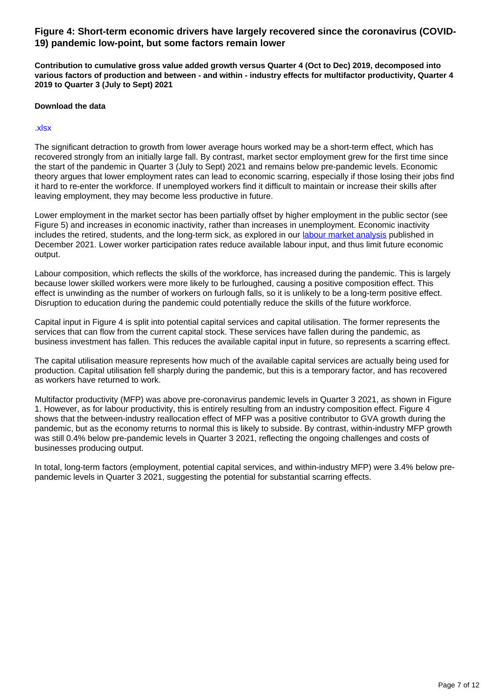### **Figure 4: Short-term economic drivers have largely recovered since the coronavirus (COVID-19) pandemic low-point, but some factors remain lower**

**Contribution to cumulative gross value added growth versus Quarter 4 (Oct to Dec) 2019, decomposed into various factors of production and between - and within - industry effects for multifactor productivity, Quarter 4 2019 to Quarter 3 (July to Sept) 2021**

### **Download the data**

#### [.xlsx](https://www.ons.gov.uk/visualisations/dvc1746/stackedbarwrapper/datadownload.xlsx)

The significant detraction to growth from lower average hours worked may be a short-term effect, which has recovered strongly from an initially large fall. By contrast, market sector employment grew for the first time since the start of the pandemic in Quarter 3 (July to Sept) 2021 and remains below pre-pandemic levels. Economic theory argues that lower employment rates can lead to economic scarring, especially if those losing their jobs find it hard to re-enter the workforce. If unemployed workers find it difficult to maintain or increase their skills after leaving employment, they may become less productive in future.

Lower employment in the market sector has been partially offset by higher employment in the public sector (see Figure 5) and increases in economic inactivity, rather than increases in unemployment. Economic inactivity includes the retired, students, and the long-term sick, as explored in our [labour market analysis](https://www.ons.gov.uk/employmentandlabourmarket/peopleinwork/employmentandemployeetypes/articles/changingtrendsandrecentshortagesinthelabourmarketuk/latest#the-movements-in-and-out-of-the-workforce) published in December 2021. Lower worker participation rates reduce available labour input, and thus limit future economic output.

Labour composition, which reflects the skills of the workforce, has increased during the pandemic. This is largely because lower skilled workers were more likely to be furloughed, causing a positive composition effect. This effect is unwinding as the number of workers on furlough falls, so it is unlikely to be a long-term positive effect. Disruption to education during the pandemic could potentially reduce the skills of the future workforce.

Capital input in Figure 4 is split into potential capital services and capital utilisation. The former represents the services that can flow from the current capital stock. These services have fallen during the pandemic, as business investment has fallen. This reduces the available capital input in future, so represents a scarring effect.

The capital utilisation measure represents how much of the available capital services are actually being used for production. Capital utilisation fell sharply during the pandemic, but this is a temporary factor, and has recovered as workers have returned to work.

Multifactor productivity (MFP) was above pre-coronavirus pandemic levels in Quarter 3 2021, as shown in Figure 1. However, as for labour productivity, this is entirely resulting from an industry composition effect. Figure 4 shows that the between-industry reallocation effect of MFP was a positive contributor to GVA growth during the pandemic, but as the economy returns to normal this is likely to subside. By contrast, within-industry MFP growth was still 0.4% below pre-pandemic levels in Quarter 3 2021, reflecting the ongoing challenges and costs of businesses producing output.

In total, long-term factors (employment, potential capital services, and within-industry MFP) were 3.4% below prepandemic levels in Quarter 3 2021, suggesting the potential for substantial scarring effects.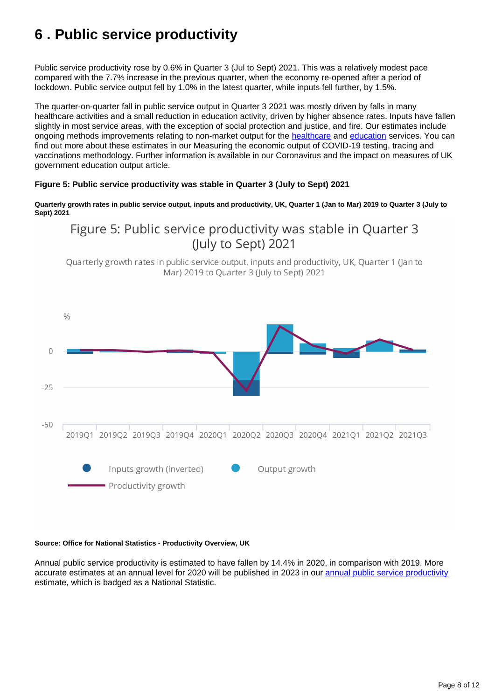# <span id="page-7-0"></span>**6 . Public service productivity**

Public service productivity rose by 0.6% in Quarter 3 (Jul to Sept) 2021. This was a relatively modest pace compared with the 7.7% increase in the previous quarter, when the economy re-opened after a period of lockdown. Public service output fell by 1.0% in the latest quarter, while inputs fell further, by 1.5%.

The quarter-on-quarter fall in public service output in Quarter 3 2021 was mostly driven by falls in many healthcare activities and a small reduction in education activity, driven by higher absence rates. Inputs have fallen slightly in most service areas, with the exception of social protection and justice, and fire. Our estimates include ongoing methods improvements relating to non-market output for the [healthcare](https://www.ons.gov.uk/economy/grossdomesticproductgdp/methodologies/measuringtheeconomicoutputofcovid19testingtracingandvaccinationsapril2020tojune2021) and [education](https://www.ons.gov.uk/economy/grossdomesticproductgdp/articles/coronavirusandtheimpactonmeasuresofukgovernmenteducationoutput/march2020tofebruary2021) services. You can find out more about these estimates in our Measuring the economic output of COVID-19 testing, tracing and vaccinations methodology. Further information is available in our Coronavirus and the impact on measures of UK government education output article.

### **Figure 5: Public service productivity was stable in Quarter 3 (July to Sept) 2021**

**Quarterly growth rates in public service output, inputs and productivity, UK, Quarter 1 (Jan to Mar) 2019 to Quarter 3 (July to Sept) 2021**

Figure 5: Public service productivity was stable in Quarter 3 (July to Sept) 2021

Ouarterly growth rates in public service output, inputs and productivity, UK, Ouarter 1 (Jan to Mar) 2019 to Quarter 3 (July to Sept) 2021



#### **Source: Office for National Statistics - Productivity Overview, UK**

Annual public service productivity is estimated to have fallen by 14.4% in 2020, in comparison with 2019. More accurate estimates at an annual level for 2020 will be published in 2023 in our [annual public service productivity](https://www.ons.gov.uk/economy/economicoutputandproductivity/publicservicesproductivity/articles/publicservicesproductivityestimatestotalpublicservices/totaluk2018) estimate, which is badged as a National Statistic.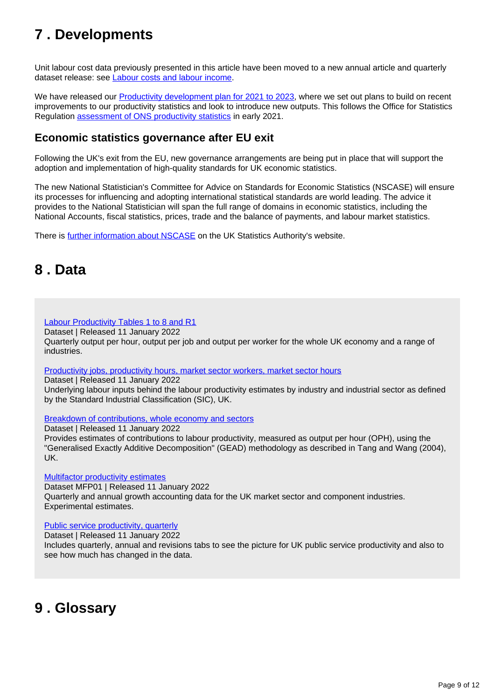# <span id="page-8-0"></span>**7 . Developments**

Unit labour cost data previously presented in this article have been moved to a new annual article and quarterly dataset release: see **Labour costs and labour income**.

We have released our [Productivity development plan for 2021 to 2023](https://www.ons.gov.uk/economy/economicoutputandproductivity/productivitymeasures/articles/productivitydevelopmentplan/2021to2023), where we set out plans to build on recent improvements to our productivity statistics and look to introduce new outputs. This follows the Office for Statistics Regulation [assessment of ONS productivity statistics](https://osr.statisticsauthority.gov.uk/publication/assessment-report-uk-productivity-statistics/) in early 2021.

## **Economic statistics governance after EU exit**

Following the UK's exit from the EU, new governance arrangements are being put in place that will support the adoption and implementation of high-quality standards for UK economic statistics.

The new National Statistician's Committee for Advice on Standards for Economic Statistics (NSCASE) will ensure its processes for influencing and adopting international statistical standards are world leading. The advice it provides to the National Statistician will span the full range of domains in economic statistics, including the National Accounts, fiscal statistics, prices, trade and the balance of payments, and labour market statistics.

There is **[further information about NSCASE](https://uksa.statisticsauthority.gov.uk/the-authority-board/committees/national-statisticians-advisory-committees-and-panels/national-statisticians-committee-for-advice-on-standards-for-economic-statistics-nscase/)** on the UK Statistics Authority's website.

## <span id="page-8-1"></span>**8 . Data**

### [Labour Productivity Tables 1 to 8 and R1](https://www.ons.gov.uk/employmentandlabourmarket/peopleinwork/labourproductivity/datasets/labourproductivitytables110andr1)

Dataset | Released 11 January 2022

Quarterly output per hour, output per job and output per worker for the whole UK economy and a range of industries.

[Productivity jobs, productivity hours, market sector workers, market sector hours](https://www.ons.gov.uk/employmentandlabourmarket/peopleinwork/labourproductivity/datasets/productivityjobsproductivityhoursmarketsectorworkersmarketsectorhours)

Dataset | Released 11 January 2022

Underlying labour inputs behind the labour productivity estimates by industry and industrial sector as defined by the Standard Industrial Classification (SIC), UK.

[Breakdown of contributions, whole economy and sectors](https://www.ons.gov.uk/employmentandlabourmarket/peopleinwork/labourproductivity/datasets/annualbreakdownofcontributionswholeeconomyandsectors)

Dataset | Released 11 January 2022 Provides estimates of contributions to labour productivity, measured as output per hour (OPH), using the "Generalised Exactly Additive Decomposition" (GEAD) methodology as described in Tang and Wang (2004), UK.

[Multifactor productivity estimates](https://www.ons.gov.uk/economy/economicoutputandproductivity/productivitymeasures/datasets/multifactorproductivityexperimentalestimatesreferencetables)

Dataset MFP01 | Released 11 January 2022 Quarterly and annual growth accounting data for the UK market sector and component industries. Experimental estimates.

[Public service productivity, quarterly](https://www.ons.gov.uk/employmentandlabourmarket/peopleinwork/labourproductivity/datasets/quarterlypublicserviceproductivityexperimentalstatistics)

Dataset | Released 11 January 2022 Includes quarterly, annual and revisions tabs to see the picture for UK public service productivity and also to see how much has changed in the data.

## <span id="page-8-2"></span>**9 . Glossary**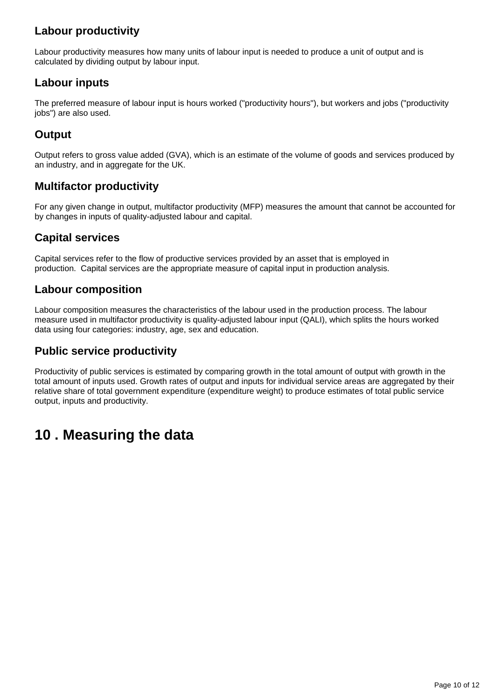## **Labour productivity**

Labour productivity measures how many units of labour input is needed to produce a unit of output and is calculated by dividing output by labour input.

## **Labour inputs**

The preferred measure of labour input is hours worked ("productivity hours"), but workers and jobs ("productivity jobs") are also used.

## **Output**

Output refers to gross value added (GVA), which is an estimate of the volume of goods and services produced by an industry, and in aggregate for the UK.

## **Multifactor productivity**

For any given change in output, multifactor productivity (MFP) measures the amount that cannot be accounted for by changes in inputs of quality-adjusted labour and capital.

## **Capital services**

Capital services refer to the flow of productive services provided by an asset that is employed in production. Capital services are the appropriate measure of capital input in production analysis.

### **Labour composition**

Labour composition measures the characteristics of the labour used in the production process. The labour measure used in multifactor productivity is quality-adjusted labour input (QALI), which splits the hours worked data using four categories: industry, age, sex and education.

### **Public service productivity**

Productivity of public services is estimated by comparing growth in the total amount of output with growth in the total amount of inputs used. Growth rates of output and inputs for individual service areas are aggregated by their relative share of total government expenditure (expenditure weight) to produce estimates of total public service output, inputs and productivity.

# <span id="page-9-0"></span>**10 . Measuring the data**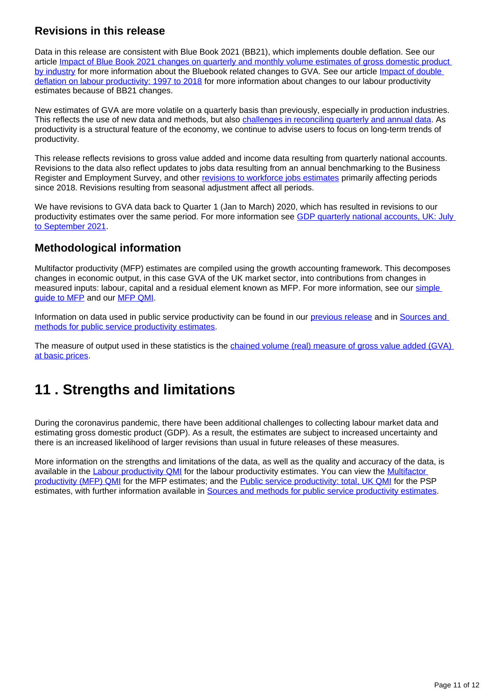## **Revisions in this release**

Data in this release are consistent with Blue Book 2021 (BB21), which implements double deflation. See our article [Impact of Blue Book 2021 changes on quarterly and monthly volume estimates of gross domestic product](https://www.ons.gov.uk/economy/grossdomesticproductgdp/articles/impactofbluebook2021changesonquarterlyandmonthlyvolumeestimatesofgrossdomesticproductbyindustry/2021-09-08)  [by industry](https://www.ons.gov.uk/economy/grossdomesticproductgdp/articles/impactofbluebook2021changesonquarterlyandmonthlyvolumeestimatesofgrossdomesticproductbyindustry/2021-09-08) for more information about the Bluebook related changes to GVA. See our article [Impact of double](https://www.ons.gov.uk/economy/economicoutputandproductivity/productivitymeasures/articles/impactofdoubledeflationonlabourproductivity/1997to2018)  [deflation on labour productivity: 1997 to 2018](https://www.ons.gov.uk/economy/economicoutputandproductivity/productivitymeasures/articles/impactofdoubledeflationonlabourproductivity/1997to2018) for more information about changes to our labour productivity estimates because of BB21 changes.

New estimates of GVA are more volatile on a quarterly basis than previously, especially in production industries. This reflects the use of new data and methods, but also [challenges in reconciling quarterly and annual data.](https://www.ons.gov.uk/economy/grossdomesticproductgdp/datasets/ukgdpolowlevelaggregates) As productivity is a structural feature of the economy, we continue to advise users to focus on long-term trends of productivity.

This release reflects revisions to gross value added and income data resulting from quarterly national accounts. Revisions to the data also reflect updates to jobs data resulting from an annual benchmarking to the Business Register and Employment Survey, and other [revisions to workforce jobs estimates](https://www.ons.gov.uk/employmentandlabourmarket/peopleinwork/employmentandemployeetypes/bulletins/jobsandvacanciesintheuk/september2020) primarily affecting periods since 2018. Revisions resulting from seasonal adjustment affect all periods.

We have revisions to GVA data back to Quarter 1 (Jan to March) 2020, which has resulted in revisions to our productivity estimates over the same period. For more information see [GDP quarterly national accounts, UK: July](https://www.ons.gov.uk/economy/grossdomesticproductgdp/bulletins/quarterlynationalaccounts/julytoseptember2021#revisions-to-gross-domestic-product-gdp)  [to September 2021.](https://www.ons.gov.uk/economy/grossdomesticproductgdp/bulletins/quarterlynationalaccounts/julytoseptember2021#revisions-to-gross-domestic-product-gdp)

## **Methodological information**

Multifactor productivity (MFP) estimates are compiled using the growth accounting framework. This decomposes changes in economic output, in this case GVA of the UK market sector, into contributions from changes in measured inputs: labour, capital and a residual element known as MFP. For more information, see our [simple](https://www.ons.gov.uk/economy/economicoutputandproductivity/productivitymeasures/methodologies/asimpleguidetomultifactorproductivity)  [guide to MFP](https://www.ons.gov.uk/economy/economicoutputandproductivity/productivitymeasures/methodologies/asimpleguidetomultifactorproductivity) and our [MFP QMI.](https://www.ons.gov.uk/economy/economicoutputandproductivity/productivitymeasures/methodologies/multifactorproductivityqmi)

Information on data used in public service productivity can be found in our [previous release](https://www.ons.gov.uk/employmentandlabourmarket/peopleinwork/labourproductivity/articles/quarterlypublicserviceproductivityexperimentalstatistics/quarterlyukoctobertodecember2019#background-to-public-service-productivity-measurement) and in [Sources and](https://www.ons.gov.uk/economy/economicoutputandproductivity/publicservicesproductivity/methodologies/sourcesandmethodsforpublicserviceproductivityestimates#output)  [methods for public service productivity estimates.](https://www.ons.gov.uk/economy/economicoutputandproductivity/publicservicesproductivity/methodologies/sourcesandmethodsforpublicserviceproductivityestimates#output)

The measure of output used in these statistics is the chained volume (real) measure of gross value added (GVA) [at basic prices](https://www.ons.gov.uk/employmentandlabourmarket/peopleinwork/labourproductivity/bulletins/labourproductivity/octobertodecember2019#measuring-the-data).

# <span id="page-10-0"></span>**11 . Strengths and limitations**

During the coronavirus pandemic, there have been additional challenges to collecting labour market data and estimating gross domestic product (GDP). As a result, the estimates are subject to increased uncertainty and there is an increased likelihood of larger revisions than usual in future releases of these measures.

More information on the strengths and limitations of the data, as well as the quality and accuracy of the data, is available in the [Labour productivity QMI](https://www.ons.gov.uk/employmentandlabourmarket/peopleinwork/labourproductivity/methodologies/labourproductivityqmi) for the labour productivity estimates. You can view the [Multifactor](https://www.ons.gov.uk/economy/economicoutputandproductivity/productivitymeasures/methodologies/multifactorproductivityqmi)  [productivity \(MFP\) QMI](https://www.ons.gov.uk/economy/economicoutputandproductivity/productivitymeasures/methodologies/multifactorproductivityqmi) for the MFP estimates; and the [Public service productivity: total, UK QMI](https://www.ons.gov.uk/economy/economicoutputandproductivity/publicservicesproductivity/methodologies/publicserviceproductivityestimatestotalpublicservicesqmi) for the PSP estimates, with further information available in [Sources and methods for public service productivity estimates](https://www.ons.gov.uk/economy/economicoutputandproductivity/publicservicesproductivity/methodologies/sourcesandmethodsforpublicserviceproductivityestimates#output).